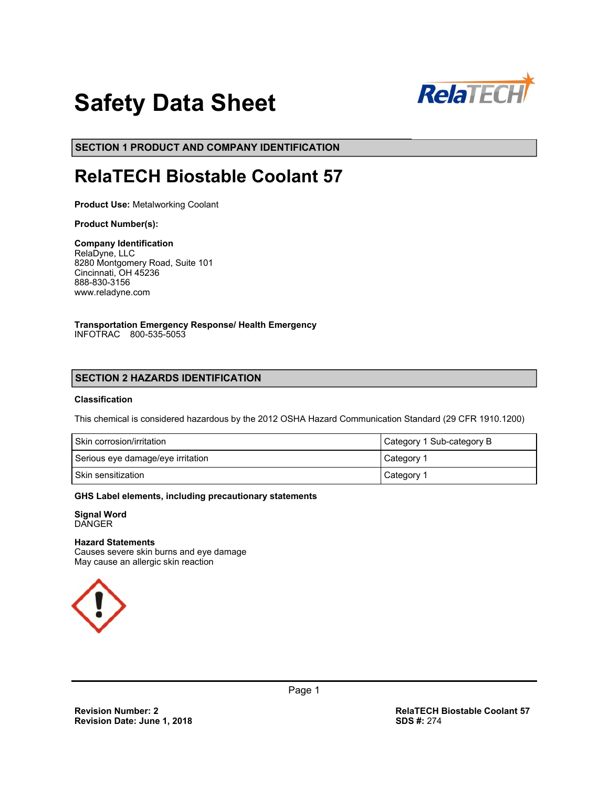

# **Safety Data Sheet**

**SECTION 1 PRODUCT AND COMPANY IDENTIFICATION**

## **RelaTECH Biostable Coolant 57**

**Product Use:** Metalworking Coolant

#### **Product Number(s):**

**Company Identification**  RelaDyne, LLC 8280 Montgomery Road, Suite 101 Cincinnati, OH 45236 888-830-3156 www.reladyne.com

**Transportation Emergency Response/ Health Emergency**  INFOTRAC 800-535-5053

## **SECTION 2 HAZARDS IDENTIFICATION**

#### **Classification**

This chemical is considered hazardous by the 2012 OSHA Hazard Communication Standard (29 CFR 1910.1200)

| Skin corrosion/irritation         | Category 1 Sub-category B |
|-----------------------------------|---------------------------|
| Serious eye damage/eye irritation | Category 1                |
| Skin sensitization                | Category 1                |

#### **GHS Label elements, including precautionary statements**

**Signal Word**  DANGER

#### **Hazard Statements**

Causes severe skin burns and eye damage May cause an allergic skin reaction

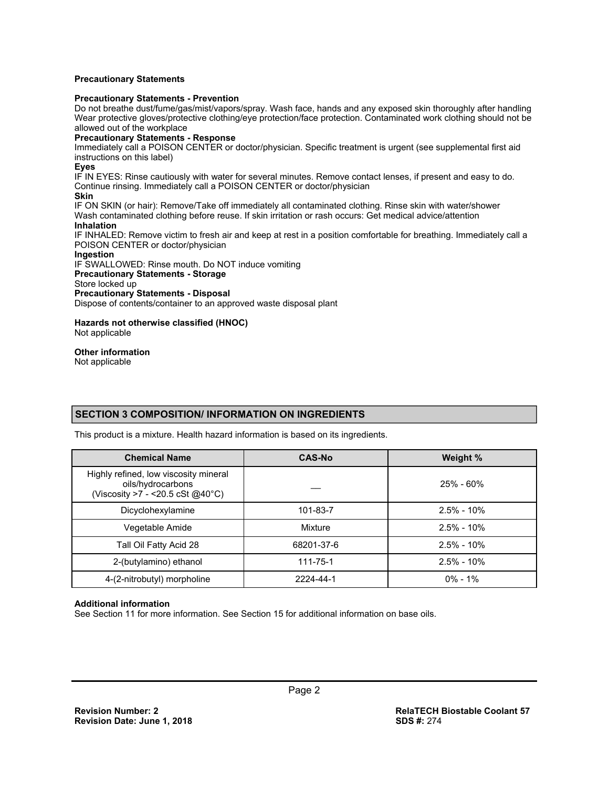#### **Precautionary Statements**

#### **Precautionary Statements - Prevention**

Do not breathe dust/fume/gas/mist/vapors/spray. Wash face, hands and any exposed skin thoroughly after handling Wear protective gloves/protective clothing/eye protection/face protection. Contaminated work clothing should not be allowed out of the workplace

#### **Precautionary Statements - Response**

Immediately call a POISON CENTER or doctor/physician. Specific treatment is urgent (see supplemental first aid instructions on this label)

#### **Eyes**

IF IN EYES: Rinse cautiously with water for several minutes. Remove contact lenses, if present and easy to do. Continue rinsing. Immediately call a POISON CENTER or doctor/physician

#### **Skin**

IF ON SKIN (or hair): Remove/Take off immediately all contaminated clothing. Rinse skin with water/shower Wash contaminated clothing before reuse. If skin irritation or rash occurs: Get medical advice/attention **Inhalation** 

IF INHALED: Remove victim to fresh air and keep at rest in a position comfortable for breathing. Immediately call a POISON CENTER or doctor/physician

#### **Ingestion**

IF SWALLOWED: Rinse mouth. Do NOT induce vomiting

#### **Precautionary Statements - Storage**

Store locked up

#### **Precautionary Statements - Disposal**

Dispose of contents/container to an approved waste disposal plant

#### **Hazards not otherwise classified (HNOC)**  Not applicable

#### **Other information**

Not applicable

## **SECTION 3 COMPOSITION/ INFORMATION ON INGREDIENTS**

This product is a mixture. Health hazard information is based on its ingredients.

| <b>Chemical Name</b>                                                                             | <b>CAS-No</b> | Weight %       |
|--------------------------------------------------------------------------------------------------|---------------|----------------|
| Highly refined, low viscosity mineral<br>oils/hydrocarbons<br>(Viscosity >7 - < 20.5 cSt @ 40°C) |               | $25\%$ - 60%   |
| Dicyclohexylamine                                                                                | 101-83-7      | $2.5\% - 10\%$ |
| Vegetable Amide                                                                                  | Mixture       | $2.5\% - 10\%$ |
| Tall Oil Fatty Acid 28                                                                           | 68201-37-6    | $2.5\% - 10\%$ |
| 2-(butylamino) ethanol                                                                           | 111-75-1      | $2.5\% - 10\%$ |
| 4-(2-nitrobutyl) morpholine                                                                      | 2224-44-1     | $0\% - 1\%$    |

#### **Additional information**

See Section 11 for more information. See Section 15 for additional information on base oils.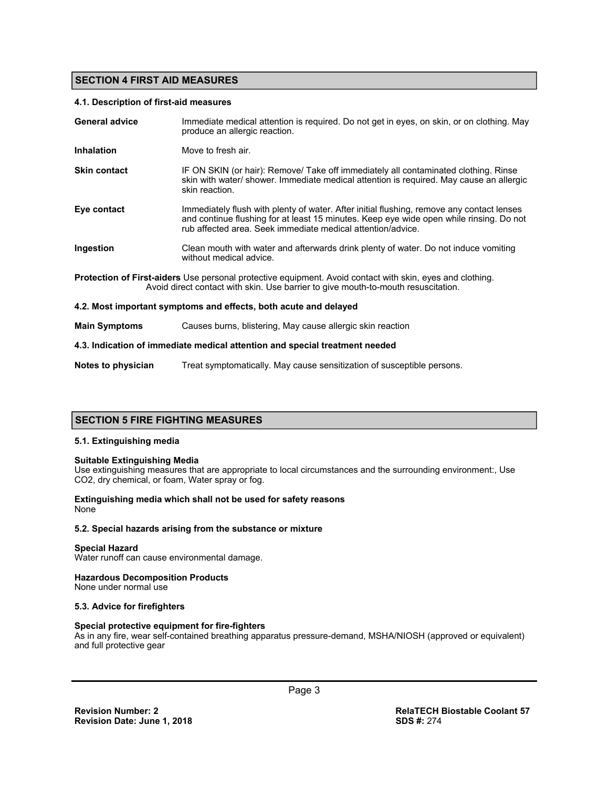## **SECTION 4 FIRST AID MEASURES**

#### **4.1. Description of first-aid measures**

| <b>General advice</b>                                                       | Immediate medical attention is required. Do not get in eyes, on skin, or on clothing. May<br>produce an allergic reaction.                                                                                                                          |  |
|-----------------------------------------------------------------------------|-----------------------------------------------------------------------------------------------------------------------------------------------------------------------------------------------------------------------------------------------------|--|
| <b>Inhalation</b>                                                           | Move to fresh air.                                                                                                                                                                                                                                  |  |
| <b>Skin contact</b>                                                         | IF ON SKIN (or hair): Remove/ Take off immediately all contaminated clothing. Rinse<br>skin with water/ shower. Immediate medical attention is required. May cause an allergic<br>skin reaction.                                                    |  |
| Eye contact                                                                 | Immediately flush with plenty of water. After initial flushing, remove any contact lenses<br>and continue flushing for at least 15 minutes. Keep eye wide open while rinsing. Do not<br>rub affected area. Seek immediate medical attention/advice. |  |
| <b>Ingestion</b>                                                            | Clean mouth with water and afterwards drink plenty of water. Do not induce vomiting<br>without medical advice.                                                                                                                                      |  |
|                                                                             | <b>Protection of First-aiders</b> Use personal protective equipment. Avoid contact with skin, eyes and clothing.<br>Avoid direct contact with skin. Use barrier to give mouth-to-mouth resuscitation.                                               |  |
|                                                                             | 4.2. Most important symptoms and effects, both acute and delayed                                                                                                                                                                                    |  |
| <b>Main Symptoms</b>                                                        | Causes burns, blistering, May cause allergic skin reaction                                                                                                                                                                                          |  |
| 4.3. Indication of immediate medical attention and special treatment needed |                                                                                                                                                                                                                                                     |  |

## **SECTION 5 FIRE FIGHTING MEASURES**

#### **5.1. Extinguishing media**

#### **Suitable Extinguishing Media**

Use extinguishing measures that are appropriate to local circumstances and the surrounding environment:, Use CO2, dry chemical, or foam, Water spray or fog.

**Notes to physician** Treat symptomatically. May cause sensitization of susceptible persons.

#### **Extinguishing media which shall not be used for safety reasons**  None

#### **5.2. Special hazards arising from the substance or mixture**

#### **Special Hazard**

Water runoff can cause environmental damage.

#### **Hazardous Decomposition Products**

None under normal use

#### **5.3. Advice for firefighters**

#### **Special protective equipment for fire-fighters**

As in any fire, wear self-contained breathing apparatus pressure-demand, MSHA/NIOSH (approved or equivalent) and full protective gear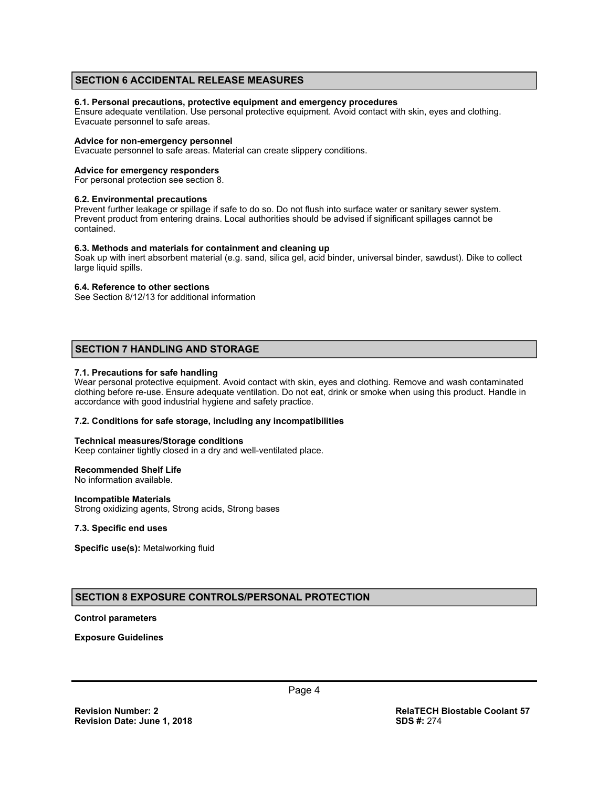## **SECTION 6 ACCIDENTAL RELEASE MEASURES**

#### **6.1. Personal precautions, protective equipment and emergency procedures**

Ensure adequate ventilation. Use personal protective equipment. Avoid contact with skin, eyes and clothing. Evacuate personnel to safe areas.

#### **Advice for non-emergency personnel**

Evacuate personnel to safe areas. Material can create slippery conditions.

#### **Advice for emergency responders**

For personal protection see section 8.

#### **6.2. Environmental precautions**

Prevent further leakage or spillage if safe to do so. Do not flush into surface water or sanitary sewer system. Prevent product from entering drains. Local authorities should be advised if significant spillages cannot be contained.

#### **6.3. Methods and materials for containment and cleaning up**

Soak up with inert absorbent material (e.g. sand, silica gel, acid binder, universal binder, sawdust). Dike to collect large liquid spills.

#### **6.4. Reference to other sections**

See Section 8/12/13 for additional information

## **SECTION 7 HANDLING AND STORAGE**

#### **7.1. Precautions for safe handling**

Wear personal protective equipment. Avoid contact with skin, eyes and clothing. Remove and wash contaminated clothing before re-use. Ensure adequate ventilation. Do not eat, drink or smoke when using this product. Handle in accordance with good industrial hygiene and safety practice.

#### **7.2. Conditions for safe storage, including any incompatibilities**

#### **Technical measures/Storage conditions**

Keep container tightly closed in a dry and well-ventilated place.

#### **Recommended Shelf Life**

No information available.

#### **Incompatible Materials**

Strong oxidizing agents, Strong acids, Strong bases

#### **7.3. Specific end uses**

**Specific use(s):** Metalworking fluid

## **SECTION 8 EXPOSURE CONTROLS/PERSONAL PROTECTION**

#### **Control parameters**

**Exposure Guidelines**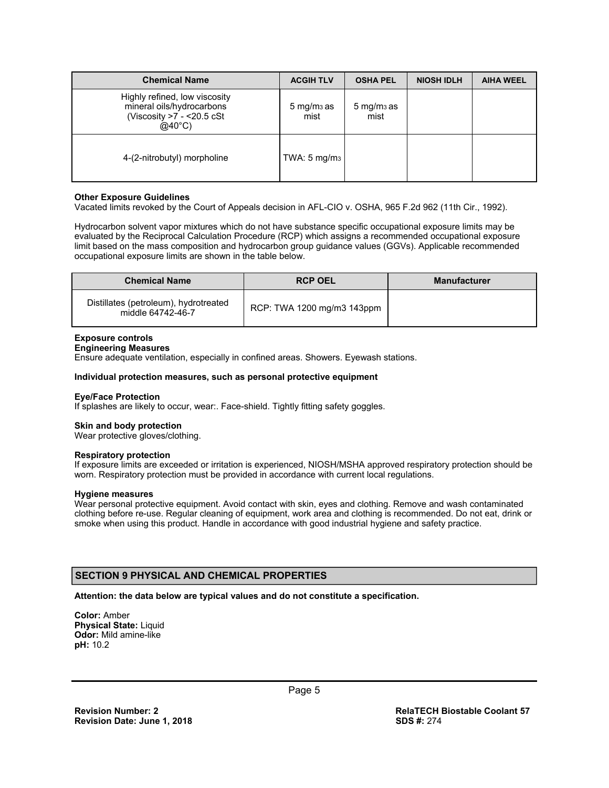| <b>Chemical Name</b>                                                                                          | <b>ACGIH TLV</b>               | <b>OSHA PEL</b>                | <b>NIOSH IDLH</b> | <b>AIHA WEEL</b> |
|---------------------------------------------------------------------------------------------------------------|--------------------------------|--------------------------------|-------------------|------------------|
| Highly refined, low viscosity<br>mineral oils/hydrocarbons<br>(Viscosity $>7$ - <20.5 cSt<br>$@40^{\circ}$ C) | $5 \,\mathrm{mg/m}$ as<br>mist | $5 \,\mathrm{mg/m}$ as<br>mist |                   |                  |
| 4-(2-nitrobutyl) morpholine                                                                                   | TWA: $5 \text{ mg/m}_3$        |                                |                   |                  |

#### **Other Exposure Guidelines**

Vacated limits revoked by the Court of Appeals decision in AFL-CIO v. OSHA, 965 F.2d 962 (11th Cir., 1992).

Hydrocarbon solvent vapor mixtures which do not have substance specific occupational exposure limits may be evaluated by the Reciprocal Calculation Procedure (RCP) which assigns a recommended occupational exposure limit based on the mass composition and hydrocarbon group guidance values (GGVs). Applicable recommended occupational exposure limits are shown in the table below.

| <b>Chemical Name</b>                                       | <b>RCP OEL</b>             | <b>Manufacturer</b> |
|------------------------------------------------------------|----------------------------|---------------------|
| Distillates (petroleum), hydrotreated<br>middle 64742-46-7 | RCP: TWA 1200 mg/m3 143ppm |                     |

#### **Exposure controls**

## **Engineering Measures**

Ensure adequate ventilation, especially in confined areas. Showers. Eyewash stations.

#### **Individual protection measures, such as personal protective equipment**

#### **Eye/Face Protection**

If splashes are likely to occur, wear:. Face-shield. Tightly fitting safety goggles.

#### **Skin and body protection**

Wear protective gloves/clothing.

#### **Respiratory protection**

If exposure limits are exceeded or irritation is experienced, NIOSH/MSHA approved respiratory protection should be worn. Respiratory protection must be provided in accordance with current local regulations.

#### **Hygiene measures**

Wear personal protective equipment. Avoid contact with skin, eyes and clothing. Remove and wash contaminated clothing before re-use. Regular cleaning of equipment, work area and clothing is recommended. Do not eat, drink or smoke when using this product. Handle in accordance with good industrial hygiene and safety practice.

## **SECTION 9 PHYSICAL AND CHEMICAL PROPERTIES**

#### **Attention: the data below are typical values and do not constitute a specification.**

**Color:** Amber **Physical State:** Liquid **Odor:** Mild amine-like **pH:** 10.2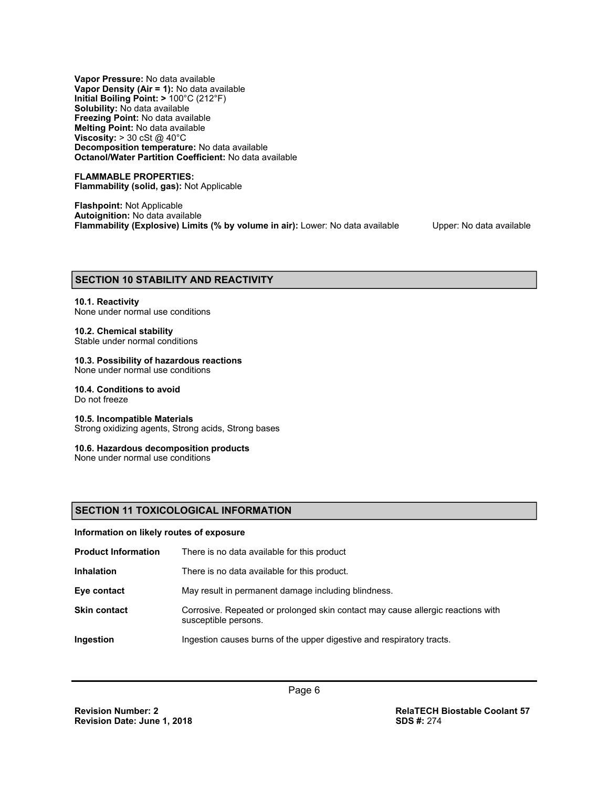**Vapor Pressure:** No data available **Vapor Density (Air = 1):** No data available **Initial Boiling Point: >** 100°C (212°F) **Solubility:** No data available **Freezing Point:** No data available **Melting Point:** No data available **Viscosity: > 30 cSt @ 40°C Decomposition temperature:** No data available **Octanol/Water Partition Coefficient:** No data available

**FLAMMABLE PROPERTIES: Flammability (solid, gas):** Not Applicable

**Flashpoint:** Not Applicable **Autoignition:** No data available **Flammability (Explosive) Limits (% by volume in air):** Lower: No data available Upper: No data available

#### **SECTION 10 STABILITY AND REACTIVITY**

## **10.1. Reactivity**

## None under normal use conditions

## **10.2. Chemical stability**

Stable under normal conditions

## **10.3. Possibility of hazardous reactions**

None under normal use conditions

## **10.4. Conditions to avoid**

Do not freeze

#### **10.5. Incompatible Materials**

Strong oxidizing agents, Strong acids, Strong bases

#### **10.6. Hazardous decomposition products**

None under normal use conditions

## **SECTION 11 TOXICOLOGICAL INFORMATION**

#### **Information on likely routes of exposure**

| <b>Product Information</b> | There is no data available for this product                                                             |
|----------------------------|---------------------------------------------------------------------------------------------------------|
| <b>Inhalation</b>          | There is no data available for this product.                                                            |
| Eye contact                | May result in permanent damage including blindness.                                                     |
| <b>Skin contact</b>        | Corrosive. Repeated or prolonged skin contact may cause allergic reactions with<br>susceptible persons. |
| Ingestion                  | Ingestion causes burns of the upper digestive and respiratory tracts.                                   |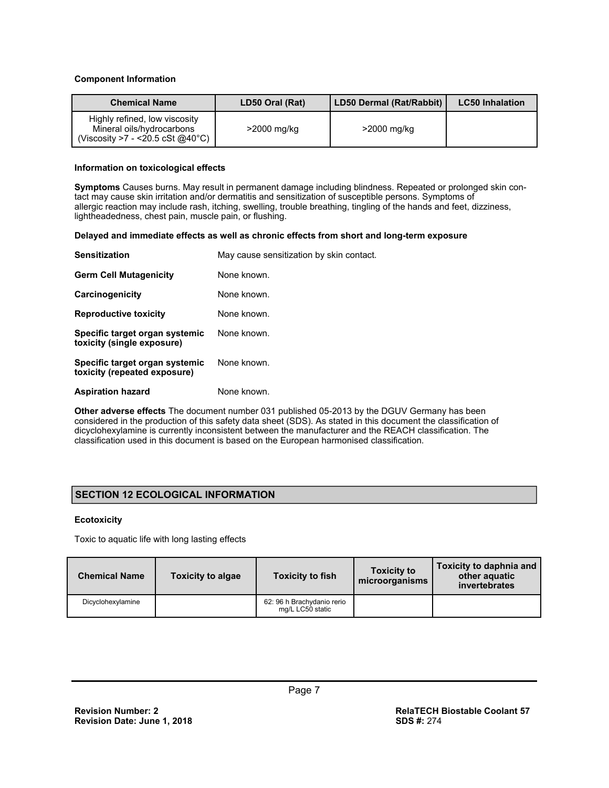#### **Component Information**

| <b>Chemical Name</b>                                                                                      | LD50 Oral (Rat) | LD50 Dermal (Rat/Rabbit) | <b>LC50 Inhalation</b> |
|-----------------------------------------------------------------------------------------------------------|-----------------|--------------------------|------------------------|
| Highly refined, low viscosity<br>Mineral oils/hydrocarbons<br>(Viscosity >7 - <20.5 cSt @40 $^{\circ}$ C) | $>$ 2000 mg/kg  | >2000 mg/kg              |                        |

#### **Information on toxicological effects**

**Symptoms** Causes burns. May result in permanent damage including blindness. Repeated or prolonged skin contact may cause skin irritation and/or dermatitis and sensitization of susceptible persons. Symptoms of allergic reaction may include rash, itching, swelling, trouble breathing, tingling of the hands and feet, dizziness, lightheadedness, chest pain, muscle pain, or flushing.

#### **Delayed and immediate effects as well as chronic effects from short and long-term exposure**

| <b>Sensitization</b>                                           | May cause sensitization by skin contact. |
|----------------------------------------------------------------|------------------------------------------|
| <b>Germ Cell Mutagenicity</b>                                  | None known.                              |
| Carcinogenicity                                                | None known.                              |
| <b>Reproductive toxicity</b>                                   | None known.                              |
| Specific target organ systemic<br>toxicity (single exposure)   | None known.                              |
| Specific target organ systemic<br>toxicity (repeated exposure) | None known.                              |
| <b>Aspiration hazard</b>                                       | None known.                              |

**Other adverse effects** The document number 031 published 05-2013 by the DGUV Germany has been considered in the production of this safety data sheet (SDS). As stated in this document the classification of dicyclohexylamine is currently inconsistent between the manufacturer and the REACH classification. The classification used in this document is based on the European harmonised classification.

## **SECTION 12 ECOLOGICAL INFORMATION**

#### **Ecotoxicity**

Toxic to aquatic life with long lasting effects

| <b>Chemical Name</b> | <b>Toxicity to algae</b> | <b>Toxicity to fish</b>                        | <b>Toxicity to</b><br>microorganisms | Toxicity to daphnia and<br>other aquatic<br>invertebrates |
|----------------------|--------------------------|------------------------------------------------|--------------------------------------|-----------------------------------------------------------|
| Dicyclohexylamine    |                          | 62: 96 h Brachydanio rerio<br>mg/L LC50 static |                                      |                                                           |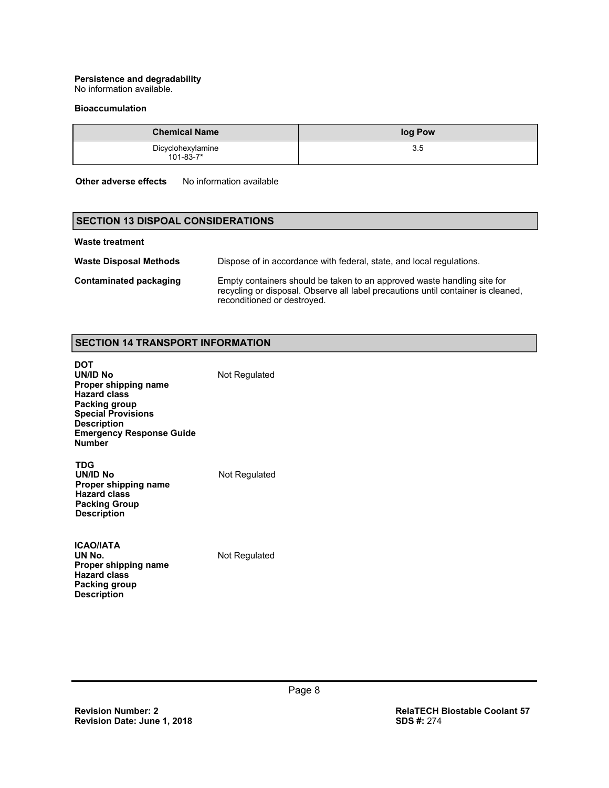## **Persistence and degradability**

No information available.

#### **Bioaccumulation**

| <b>Chemical Name</b>                 | log Pow |
|--------------------------------------|---------|
| Dicyclohexylamine<br>$101 - 83 - 7*$ | 35      |

**Other adverse effects** No information available

## **SECTION 13 DISPOAL CONSIDERATIONS**

#### **Waste treatment**

| <b>Waste Disposal Methods</b> | Dispose of in accordance with federal, state, and local regulations.                                                                                                                       |
|-------------------------------|--------------------------------------------------------------------------------------------------------------------------------------------------------------------------------------------|
| Contaminated packaging        | Empty containers should be taken to an approved waste handling site for<br>recycling or disposal. Observe all label precautions until container is cleaned,<br>reconditioned or destroyed. |

## **SECTION 14 TRANSPORT INFORMATION**

| DOT<br>UN/ID No<br>Proper shipping name<br><b>Hazard class</b><br>Packing group<br><b>Special Provisions</b><br><b>Description</b><br><b>Emergency Response Guide</b><br><b>Number</b> | Not Regulated |
|----------------------------------------------------------------------------------------------------------------------------------------------------------------------------------------|---------------|
| TDG<br>UN/ID No<br>Proper shipping name<br><b>Hazard class</b><br><b>Packing Group</b><br><b>Description</b>                                                                           | Not Regulated |
| <b>ICAO/IATA</b>                                                                                                                                                                       |               |

| הוושמטו              |
|----------------------|
| UN No.               |
| Proper shipping name |
| <b>Hazard class</b>  |
| Packing group        |
| <b>Description</b>   |
|                      |

**Not Regulated**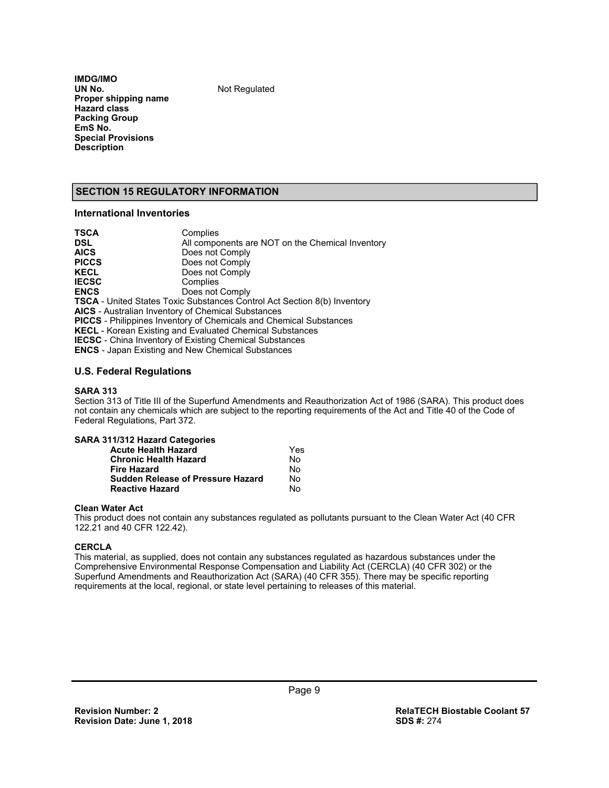**IMDG/IMO Proper shipping name Hazard class Packing Group EmS No. Special Provisions Description** 

**Not Regulated** 

## **SECTION 15 REGULATORY INFORMATION**

## **International Inventories**

| Complies                                                                        |
|---------------------------------------------------------------------------------|
| All components are NOT on the Chemical Inventory                                |
| Does not Comply                                                                 |
| Does not Comply                                                                 |
| Does not Comply                                                                 |
| Complies                                                                        |
| Does not Comply                                                                 |
| <b>TSCA</b> - United States Toxic Substances Control Act Section 8(b) Inventory |
| <b>AICS</b> - Australian Inventory of Chemical Substances                       |
| <b>PICCS</b> - Philippines Inventory of Chemicals and Chemical Substances       |
| <b>KECL</b> - Korean Existing and Evaluated Chemical Substances                 |
| <b>IECSC</b> - China Inventory of Existing Chemical Substances                  |
| <b>ENCS</b> - Japan Existing and New Chemical Substances                        |
|                                                                                 |

#### **U.S. Federal Regulations**

#### **SARA 313**

Section 313 of Title III of the Superfund Amendments and Reauthorization Act of 1986 (SARA). This product does not contain any chemicals which are subject to the reporting requirements of the Act and Title 40 of the Code of Federal Regulations, Part 372.

| SARA 311/312 Hazard Categories           |     |
|------------------------------------------|-----|
| <b>Acute Health Hazard</b>               | Yes |
| <b>Chronic Health Hazard</b>             | No  |
| <b>Fire Hazard</b>                       | Nο  |
| <b>Sudden Release of Pressure Hazard</b> | No  |
| <b>Reactive Hazard</b>                   | N٥  |

#### **Clean Water Act**

This product does not contain any substances regulated as pollutants pursuant to the Clean Water Act (40 CFR 122.21 and 40 CFR 122.42).

#### **CERCLA**

This material, as supplied, does not contain any substances regulated as hazardous substances under the Comprehensive Environmental Response Compensation and Liability Act (CERCLA) (40 CFR 302) or the Superfund Amendments and Reauthorization Act (SARA) (40 CFR 355). There may be specific reporting requirements at the local, regional, or state level pertaining to releases of this material.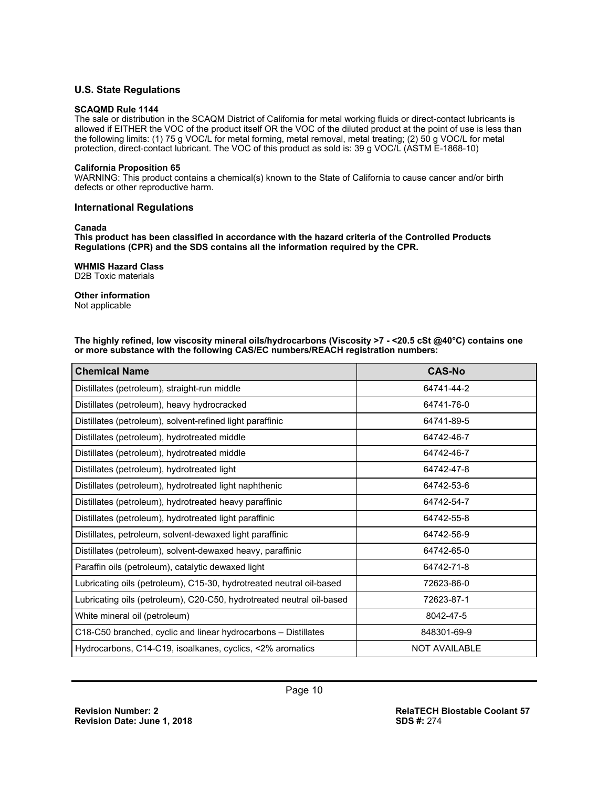## **U.S. State Regulations**

#### **SCAQMD Rule 1144**

The sale or distribution in the SCAQM District of California for metal working fluids or direct-contact lubricants is allowed if EITHER the VOC of the product itself OR the VOC of the diluted product at the point of use is less than the following limits: (1) 75 g VOC/L for metal forming, metal removal, metal treating; (2) 50 g VOC/L for metal protection, direct-contact lubricant. The VOC of this product as sold is: 39 g VOC/L (ASTM E-1868-10)

#### **California Proposition 65**

WARNING: This product contains a chemical(s) known to the State of California to cause cancer and/or birth defects or other reproductive harm.

#### **International Regulations**

#### **Canada**

**This product has been classified in accordance with the hazard criteria of the Controlled Products Regulations (CPR) and the SDS contains all the information required by the CPR.** 

#### **WHMIS Hazard Class**

D2B Toxic materials

## **Other information**

Not applicable

**The highly refined, low viscosity mineral oils/hydrocarbons (Viscosity >7 - <20.5 cSt @40°C) contains one or more substance with the following CAS/EC numbers/REACH registration numbers:**

| <b>Chemical Name</b>                                                  | <b>CAS-No</b>        |
|-----------------------------------------------------------------------|----------------------|
| Distillates (petroleum), straight-run middle                          | 64741-44-2           |
| Distillates (petroleum), heavy hydrocracked                           | 64741-76-0           |
| Distillates (petroleum), solvent-refined light paraffinic             | 64741-89-5           |
| Distillates (petroleum), hydrotreated middle                          | 64742-46-7           |
| Distillates (petroleum), hydrotreated middle                          | 64742-46-7           |
| Distillates (petroleum), hydrotreated light                           | 64742-47-8           |
| Distillates (petroleum), hydrotreated light naphthenic                | 64742-53-6           |
| Distillates (petroleum), hydrotreated heavy paraffinic                | 64742-54-7           |
| Distillates (petroleum), hydrotreated light paraffinic                | 64742-55-8           |
| Distillates, petroleum, solvent-dewaxed light paraffinic              | 64742-56-9           |
| Distillates (petroleum), solvent-dewaxed heavy, paraffinic            | 64742-65-0           |
| Paraffin oils (petroleum), catalytic dewaxed light                    | 64742-71-8           |
| Lubricating oils (petroleum), C15-30, hydrotreated neutral oil-based  | 72623-86-0           |
| Lubricating oils (petroleum), C20-C50, hydrotreated neutral oil-based | 72623-87-1           |
| White mineral oil (petroleum)                                         | 8042-47-5            |
| C18-C50 branched, cyclic and linear hydrocarbons – Distillates        | 848301-69-9          |
| Hydrocarbons, C14-C19, isoalkanes, cyclics, <2% aromatics             | <b>NOT AVAILABLE</b> |